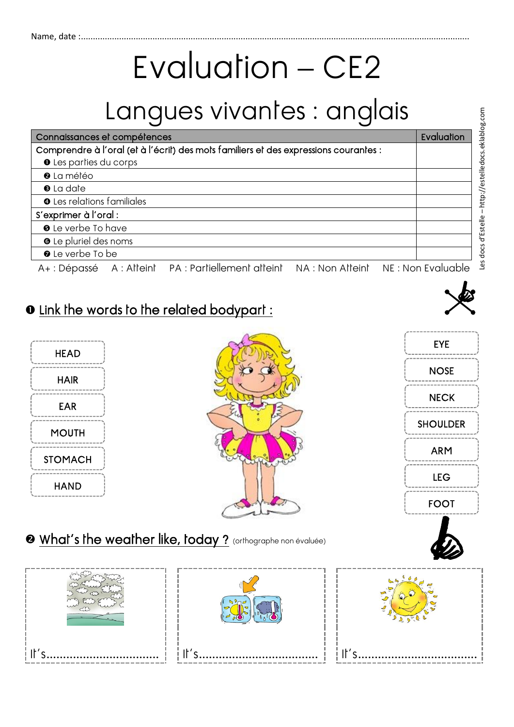# Evaluation – CE2

## Langues vivantes : anglais

| Connaissances et compétences                                                                                    | Evaluation |
|-----------------------------------------------------------------------------------------------------------------|------------|
| Comprendre à l'oral (et à l'écrit) des mots familiers et des expressions courantes :                            |            |
| <b>O</b> Les parties du corps                                                                                   |            |
| <sup>0</sup> La météo                                                                                           |            |
| <b>O</b> La date                                                                                                |            |
| <b>O</b> Les relations familiales                                                                               |            |
| S'exprimer à l'oral :                                                                                           |            |
| <b>O</b> Le verbe To have                                                                                       |            |
| <b>O</b> Le pluriel des noms                                                                                    |            |
| <b>O</b> Le verbe To be                                                                                         |            |
| the contract of the contract of the contract of the contract of the contract of the contract of the contract of |            |

A+ : Dépassé A : Atteint PA : Partiellement atteint NA : Non Atteint NE : Non Evaluable

#### $\bullet$  Link the words to the related bodypart :







#### **@** What's the weather like, today ? (orthographe non évaluée)

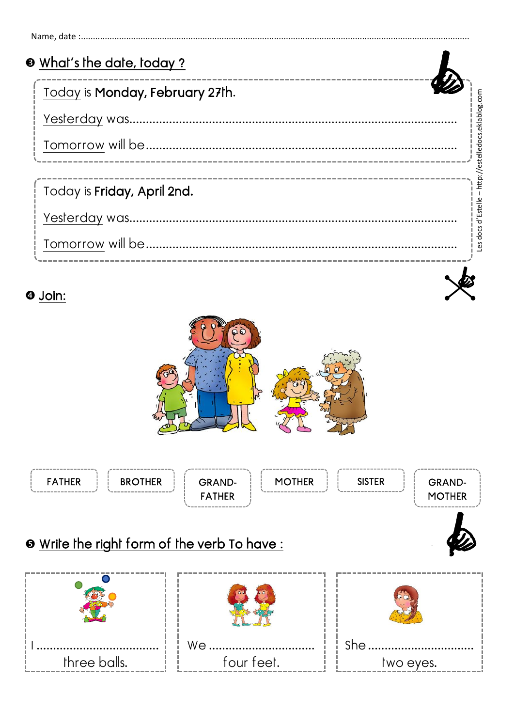| <b>O</b> What's the date, today? |                                 |
|----------------------------------|---------------------------------|
| Today is Monday, February 27th.  |                                 |
|                                  | http://estelledocs.eklablog.com |
|                                  |                                 |
|                                  |                                 |
| Today is Friday, April 2nd.      |                                 |
|                                  | es docs d'Estelle               |
|                                  |                                 |
|                                  |                                 |

#### **O** Join:



### **O** Write the right form of the verb To have: